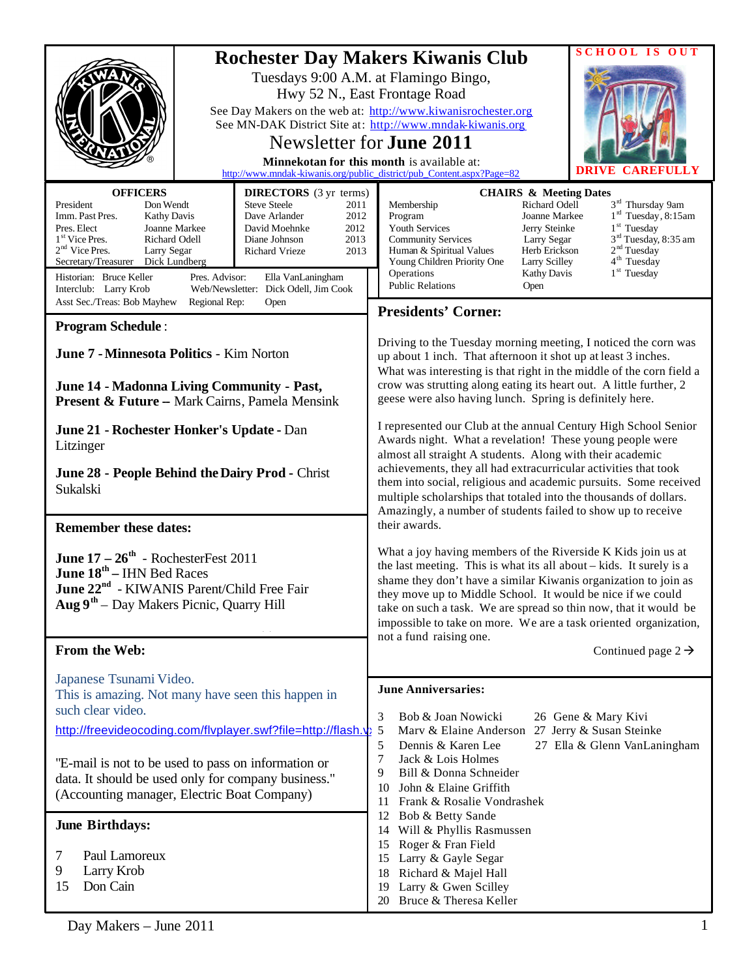|                                                                                                                                                                                                                                                                                                                                 |                                 |                                                                                                                                                                                                                                        | <b>Rochester Day Makers Kiwanis Club</b><br>Tuesdays 9:00 A.M. at Flamingo Bingo,<br>Hwy 52 N., East Frontage Road<br>See Day Makers on the web at: http://www.kiwanisrochester.org<br>See MN-DAK District Site at: http://www.mndak-kiwanis.org<br>Newsletter for <b>June 2011</b><br>Minnekotan for this month is available at:<br>http://www.mndak-kiwanis.org/public_district/pub_Content.aspx?Page=82                                                                                                                                                                                                                                                                                                                                                                                                                                                                                                                        |                                                                                                                                                                     | <b>SCHOOL</b><br>IS OUT<br>CAREFULLY                                                                                                                                                        |
|---------------------------------------------------------------------------------------------------------------------------------------------------------------------------------------------------------------------------------------------------------------------------------------------------------------------------------|---------------------------------|----------------------------------------------------------------------------------------------------------------------------------------------------------------------------------------------------------------------------------------|-----------------------------------------------------------------------------------------------------------------------------------------------------------------------------------------------------------------------------------------------------------------------------------------------------------------------------------------------------------------------------------------------------------------------------------------------------------------------------------------------------------------------------------------------------------------------------------------------------------------------------------------------------------------------------------------------------------------------------------------------------------------------------------------------------------------------------------------------------------------------------------------------------------------------------------|---------------------------------------------------------------------------------------------------------------------------------------------------------------------|---------------------------------------------------------------------------------------------------------------------------------------------------------------------------------------------|
| <b>OFFICERS</b><br>President<br>Don Wendt<br>Imm. Past Pres.<br><b>Kathy Davis</b><br>Joanne Markee<br>Pres. Elect<br>1 <sup>st</sup> Vice Pres.<br>Richard Odell<br>$2nd$ Vice Pres.<br>Larry Segar<br>Secretary/Treasurer<br>Dick Lundberg<br>Historian: Bruce Keller<br>Interclub: Larry Krob<br>Asst Sec./Treas: Bob Mayhew | Pres. Advisor:<br>Regional Rep: | <b>DIRECTORS</b> (3 yr terms)<br><b>Steve Steele</b><br>2011<br>Dave Arlander<br>2012<br>2012<br>David Moehnke<br>2013<br>Diane Johnson<br>Richard Vrieze<br>2013<br>Ella VanLaningham<br>Web/Newsletter: Dick Odell, Jim Cook<br>Open | Membership<br>Program<br><b>Youth Services</b><br><b>Community Services</b><br>Human & Spiritual Values<br>Young Children Priority One<br>Operations<br><b>Public Relations</b><br><b>Presidents' Corner:</b>                                                                                                                                                                                                                                                                                                                                                                                                                                                                                                                                                                                                                                                                                                                     | <b>CHAIRS &amp; Meeting Dates</b><br>Richard Odell<br>Joanne Markee<br>Jerry Steinke<br>Larry Segar<br>Herb Erickson<br>Larry Scilley<br><b>Kathy Davis</b><br>Open | 3 <sup>rd</sup> Thursday 9am<br>$1rd$ Tuesday, 8:15am<br>$1st$ Tuesday<br>3 <sup>rd</sup> Tuesday, 8:35 am<br>2 <sup>nd</sup> Tuesday<br>4 <sup>th</sup> Tuesday<br>1 <sup>st</sup> Tuesday |
| <b>Program Schedule:</b><br><b>June 7 - Minnesota Politics - Kim Norton</b><br>June 14 - Madonna Living Community - Past,<br>Present & Future -- Mark Cairns, Pamela Mensink                                                                                                                                                    |                                 |                                                                                                                                                                                                                                        | Driving to the Tuesday morning meeting, I noticed the corn was<br>up about 1 inch. That afternoon it shot up at least 3 inches.<br>What was interesting is that right in the middle of the corn field a<br>crow was strutting along eating its heart out. A little further, 2<br>geese were also having lunch. Spring is definitely here.                                                                                                                                                                                                                                                                                                                                                                                                                                                                                                                                                                                         |                                                                                                                                                                     |                                                                                                                                                                                             |
| June 21 - Rochester Honker's Update - Dan<br>Litzinger<br>June 28 - People Behind the Dairy Prod - Christ<br>Sukalski                                                                                                                                                                                                           |                                 |                                                                                                                                                                                                                                        | I represented our Club at the annual Century High School Senior<br>Awards night. What a revelation! These young people were<br>almost all straight A students. Along with their academic<br>achievements, they all had extracurricular activities that took<br>them into social, religious and academic pursuits. Some received<br>multiple scholarships that totaled into the thousands of dollars.<br>Amazingly, a number of students failed to show up to receive<br>their awards.<br>What a joy having members of the Riverside K Kids join us at<br>the last meeting. This is what its all about – kids. It surely is a<br>shame they don't have a similar Kiwanis organization to join as<br>they move up to Middle School. It would be nice if we could<br>take on such a task. We are spread so thin now, that it would be<br>impossible to take on more. We are a task oriented organization,<br>not a fund raising one. |                                                                                                                                                                     |                                                                                                                                                                                             |
| <b>Remember these dates:</b><br><b>June 17</b> – $26^{\text{th}}$ - RochesterFest 2011<br>June 18 <sup>th</sup> – IHN Bed Races<br><b>June 22<sup>nd</sup></b> - KIWANIS Parent/Child Free Fair<br>Aug $9th$ – Day Makers Picnic, Quarry Hill                                                                                   |                                 |                                                                                                                                                                                                                                        |                                                                                                                                                                                                                                                                                                                                                                                                                                                                                                                                                                                                                                                                                                                                                                                                                                                                                                                                   |                                                                                                                                                                     |                                                                                                                                                                                             |
| From the Web:<br>Japanese Tsunami Video.<br>This is amazing. Not many have seen this happen in<br>such clear video.<br>http://freevideocoding.com/flvplayer.swf?file=http://flash.y                                                                                                                                             |                                 |                                                                                                                                                                                                                                        | Continued page $2 \rightarrow$<br><b>June Anniversaries:</b><br>Bob & Joan Nowicki<br>26 Gene & Mary Kivi<br>3<br>5<br>Marv & Elaine Anderson 27 Jerry & Susan Steinke<br>5<br>Dennis & Karen Lee<br>27 Ella & Glenn VanLaningham<br>7<br>Jack & Lois Holmes<br>Bill & Donna Schneider<br>9<br>John & Elaine Griffith<br>10<br>Frank & Rosalie Vondrashek<br>11<br>Bob & Betty Sande<br>12<br>Will & Phyllis Rasmussen<br>14<br>15<br>Roger & Fran Field<br>Larry & Gayle Segar<br>15<br>Richard & Majel Hall<br>18<br>Larry & Gwen Scilley<br>19<br>20 Bruce & Theresa Keller                                                                                                                                                                                                                                                                                                                                                    |                                                                                                                                                                     |                                                                                                                                                                                             |
| "E-mail is not to be used to pass on information or<br>data. It should be used only for company business."<br>(Accounting manager, Electric Boat Company)                                                                                                                                                                       |                                 |                                                                                                                                                                                                                                        |                                                                                                                                                                                                                                                                                                                                                                                                                                                                                                                                                                                                                                                                                                                                                                                                                                                                                                                                   |                                                                                                                                                                     |                                                                                                                                                                                             |
| <b>June Birthdays:</b><br>Paul Lamoreux<br>7<br>9<br>Larry Krob<br>Don Cain<br>15                                                                                                                                                                                                                                               |                                 |                                                                                                                                                                                                                                        |                                                                                                                                                                                                                                                                                                                                                                                                                                                                                                                                                                                                                                                                                                                                                                                                                                                                                                                                   |                                                                                                                                                                     |                                                                                                                                                                                             |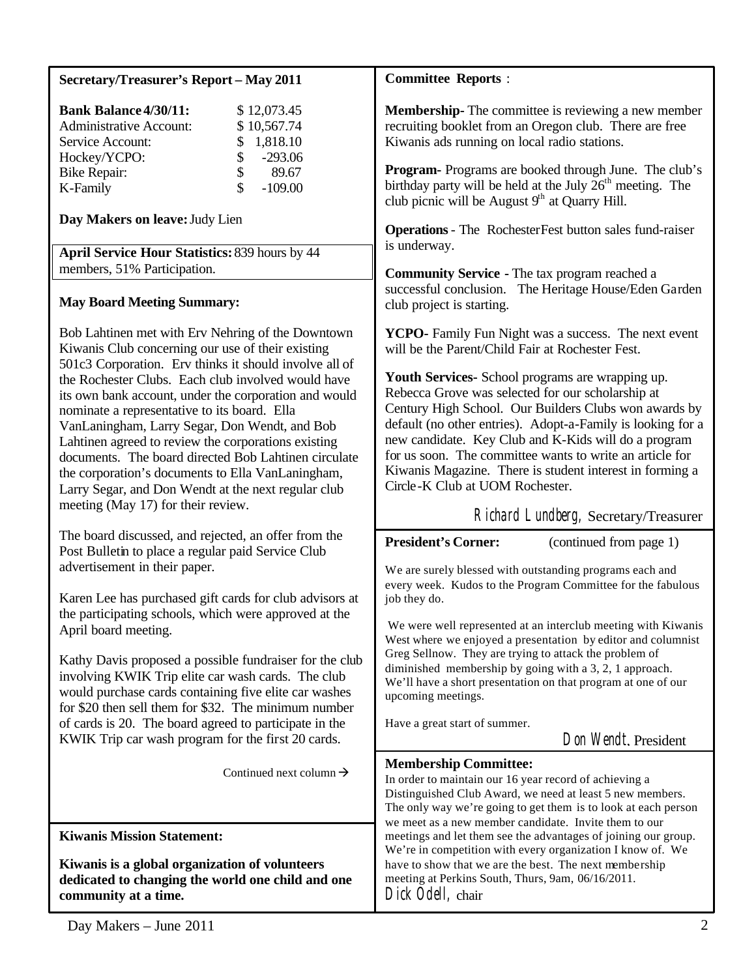| <b>Secretary/Treasurer's Report - May 2011</b>                                                                                                                                                                                                                                                                                                                                                                                                                                                    | <b>Committee Reports:</b>                                                                                                                                                                                                                                                                                                                                                                                                                                                                                                                                                      |  |  |  |  |  |
|---------------------------------------------------------------------------------------------------------------------------------------------------------------------------------------------------------------------------------------------------------------------------------------------------------------------------------------------------------------------------------------------------------------------------------------------------------------------------------------------------|--------------------------------------------------------------------------------------------------------------------------------------------------------------------------------------------------------------------------------------------------------------------------------------------------------------------------------------------------------------------------------------------------------------------------------------------------------------------------------------------------------------------------------------------------------------------------------|--|--|--|--|--|
| <b>Bank Balance 4/30/11:</b><br>\$12,073.45<br>\$10,567.74<br><b>Administrative Account:</b><br>Service Account:<br>\$<br>1,818.10<br>\$<br>\$<br>$-293.06$<br>Hockey/YCPO:<br>89.67<br><b>Bike Repair:</b><br>\$<br>$-109.00$<br>K-Family                                                                                                                                                                                                                                                        | <b>Membership-</b> The committee is reviewing a new member<br>recruiting booklet from an Oregon club. There are free<br>Kiwanis ads running on local radio stations.<br><b>Program-</b> Programs are booked through June. The club's<br>birthday party will be held at the July $26th$ meeting. The                                                                                                                                                                                                                                                                            |  |  |  |  |  |
| Day Makers on leave: Judy Lien                                                                                                                                                                                                                                                                                                                                                                                                                                                                    | club picnic will be August $9th$ at Quarry Hill.                                                                                                                                                                                                                                                                                                                                                                                                                                                                                                                               |  |  |  |  |  |
| April Service Hour Statistics: 839 hours by 44<br>members, 51% Participation.                                                                                                                                                                                                                                                                                                                                                                                                                     | <b>Operations</b> - The RochesterFest button sales fund-raiser<br>is underway.<br><b>Community Service - The tax program reached a</b><br>successful conclusion. The Heritage House/Eden Garden                                                                                                                                                                                                                                                                                                                                                                                |  |  |  |  |  |
| <b>May Board Meeting Summary:</b>                                                                                                                                                                                                                                                                                                                                                                                                                                                                 | club project is starting.                                                                                                                                                                                                                                                                                                                                                                                                                                                                                                                                                      |  |  |  |  |  |
| Bob Lahtinen met with Erv Nehring of the Downtown<br>Kiwanis Club concerning our use of their existing                                                                                                                                                                                                                                                                                                                                                                                            | YCPO- Family Fun Night was a success. The next event<br>will be the Parent/Child Fair at Rochester Fest.                                                                                                                                                                                                                                                                                                                                                                                                                                                                       |  |  |  |  |  |
| 501c3 Corporation. Erv thinks it should involve all of<br>the Rochester Clubs. Each club involved would have<br>its own bank account, under the corporation and would<br>nominate a representative to its board. Ella<br>VanLaningham, Larry Segar, Don Wendt, and Bob<br>Lahtinen agreed to review the corporations existing<br>documents. The board directed Bob Lahtinen circulate<br>the corporation's documents to Ella VanLaningham,<br>Larry Segar, and Don Wendt at the next regular club | Youth Services- School programs are wrapping up.<br>Rebecca Grove was selected for our scholarship at<br>Century High School. Our Builders Clubs won awards by<br>default (no other entries). Adopt-a-Family is looking for a<br>new candidate. Key Club and K-Kids will do a program<br>for us soon. The committee wants to write an article for<br>Kiwanis Magazine. There is student interest in forming a<br>Circle-K Club at UOM Rochester.                                                                                                                               |  |  |  |  |  |
| meeting (May 17) for their review.                                                                                                                                                                                                                                                                                                                                                                                                                                                                | Richard Lundberg, Secretary/Treasurer                                                                                                                                                                                                                                                                                                                                                                                                                                                                                                                                          |  |  |  |  |  |
| The board discussed, and rejected, an offer from the<br>Post Bulletin to place a regular paid Service Club<br>advertisement in their paper.<br>Karen Lee has purchased gift cards for club advisors at<br>the participating schools, which were approved at the<br>April board meeting.                                                                                                                                                                                                           | <b>President's Corner:</b><br>(continued from page 1)<br>We are surely blessed with outstanding programs each and<br>every week. Kudos to the Program Committee for the fabulous<br>job they do.<br>We were well represented at an interclub meeting with Kiwanis<br>West where we enjoyed a presentation by editor and columnist<br>Greg Sellnow. They are trying to attack the problem of<br>diminished membership by going with a 3, 2, 1 approach.<br>We'll have a short presentation on that program at one of our<br>upcoming meetings.<br>Have a great start of summer. |  |  |  |  |  |
| Kathy Davis proposed a possible fundraiser for the club<br>involving KWIK Trip elite car wash cards. The club<br>would purchase cards containing five elite car washes<br>for \$20 then sell them for \$32. The minimum number<br>of cards is 20. The board agreed to participate in the                                                                                                                                                                                                          |                                                                                                                                                                                                                                                                                                                                                                                                                                                                                                                                                                                |  |  |  |  |  |
| KWIK Trip car wash program for the first 20 cards.                                                                                                                                                                                                                                                                                                                                                                                                                                                | Don Wendt. President                                                                                                                                                                                                                                                                                                                                                                                                                                                                                                                                                           |  |  |  |  |  |
| Continued next column $\rightarrow$                                                                                                                                                                                                                                                                                                                                                                                                                                                               | <b>Membership Committee:</b><br>In order to maintain our 16 year record of achieving a<br>Distinguished Club Award, we need at least 5 new members.<br>The only way we're going to get them is to look at each person<br>we meet as a new member candidate. Invite them to our<br>meetings and let them see the advantages of joining our group.<br>We're in competition with every organization I know of. We<br>have to show that we are the best. The next membership<br>meeting at Perkins South, Thurs, 9am, 06/16/2011.<br>Dick Odell, chair                             |  |  |  |  |  |
| <b>Kiwanis Mission Statement:</b><br>Kiwanis is a global organization of volunteers<br>dedicated to changing the world one child and one                                                                                                                                                                                                                                                                                                                                                          |                                                                                                                                                                                                                                                                                                                                                                                                                                                                                                                                                                                |  |  |  |  |  |
| community at a time.                                                                                                                                                                                                                                                                                                                                                                                                                                                                              |                                                                                                                                                                                                                                                                                                                                                                                                                                                                                                                                                                                |  |  |  |  |  |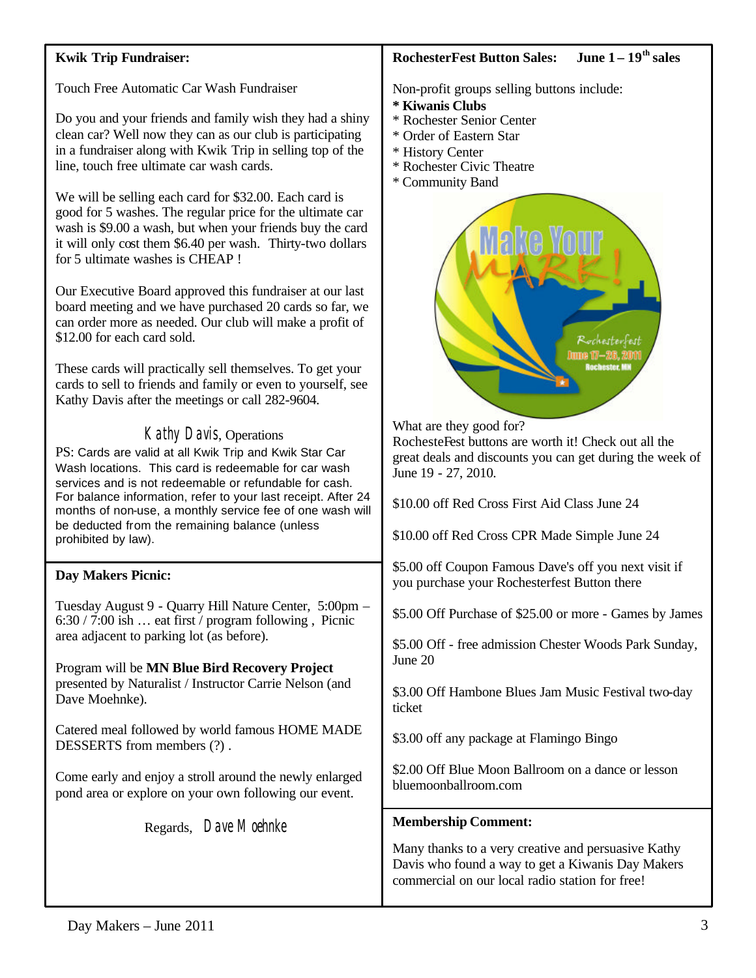## **Kwik Trip Fundraiser:**

Touch Free Automatic Car Wash Fundraiser

Do you and your friends and family wish they had a shiny clean car? Well now they can as our club is participating in a fundraiser along with Kwik Trip in selling top of the line, touch free ultimate car wash cards.

We will be selling each card for \$32.00. Each card is good for 5 washes. The regular price for the ultimate car wash is \$9.00 a wash, but when your friends buy the card it will only cost them \$6.40 per wash. Thirty-two dollars for 5 ultimate washes is CHEAP !

Our Executive Board approved this fundraiser at our last board meeting and we have purchased 20 cards so far, we can order more as needed. Our club will make a profit of \$12.00 for each card sold.

These cards will practically sell themselves. To get your cards to sell to friends and family or even to yourself, see Kathy Davis after the meetings or call 282-9604.

# Kathy Davis, Operations

PS: Cards are valid at all Kwik Trip and Kwik Star Car Wash locations. This card is redeemable for car wash services and is not redeemable or refundable for cash. For balance information, refer to your last receipt. After 24 months of non-use, a monthly service fee of one wash will be deducted from the remaining balance (unless prohibited by law).

### **Day Makers Picnic:**

Tuesday August 9 - Quarry Hill Nature Center, 5:00pm – 6:30 / 7:00 ish … eat first / program following , Picnic area adjacent to parking lot (as before).

Program will be **MN Blue Bird Recovery Project** presented by Naturalist / Instructor Carrie Nelson (and Dave Moehnke).

Catered meal followed by world famous HOME MADE DESSERTS from members (?) .

Come early and enjoy a stroll around the newly enlarged pond area or explore on your own following our event.

Regards, Dave Moehnke

#### **RochesterFest Button Sales: June 1 – 19th sales**

Non-profit groups selling buttons include:

- **\* Kiwanis Clubs**
- \* Rochester Senior Center
- \* Order of Eastern Star
- \* History Center
- \* Rochester Civic Theatre
- \* Community Band



What are they good for?

RochesteFest buttons are worth it! Check out all the great deals and discounts you can get during the week of June 19 - 27, 2010.

\$10.00 off Red Cross First Aid Class June 24

\$10.00 off Red Cross CPR Made Simple June 24

\$5.00 off Coupon Famous Dave's off you next visit if you purchase your Rochesterfest Button there

\$5.00 Off Purchase of \$25.00 or more - Games by James

\$5.00 Off - free admission Chester Woods Park Sunday, June 20

\$3.00 Off Hambone Blues Jam Music Festival two-day ticket

\$3.00 off any package at Flamingo Bingo

\$2.00 Off Blue Moon Ballroom on a dance or lesson bluemoonballroom.com

### **Membership Comment:**

Many thanks to a very creative and persuasive Kathy Davis who found a way to get a Kiwanis Day Makers commercial on our local radio station for free!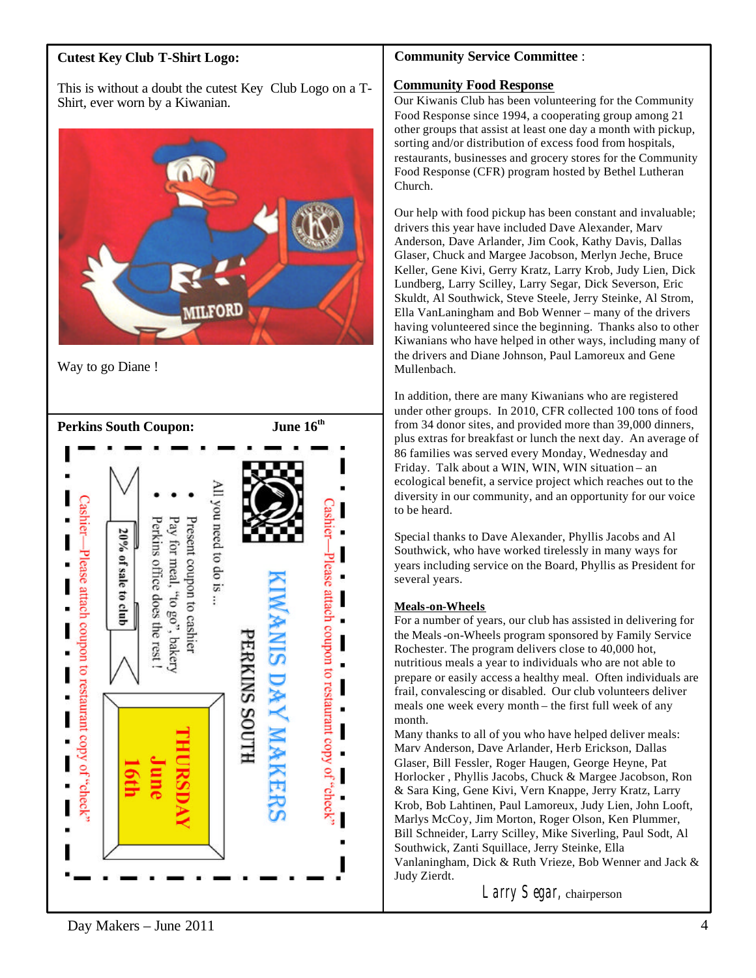# **Cutest Key Club T-Shirt Logo:**

This is without a doubt the cutest Key Club Logo on a T-Shirt, ever worn by a Kiwanian.



Way to go Diane !



#### **Community Service Committee** :

#### **Community Food Response**

Our Kiwanis Club has been volunteering for the Community Food Response since 1994, a cooperating group among 21 other groups that assist at least one day a month with pickup, sorting and/or distribution of excess food from hospitals, restaurants, businesses and grocery stores for the Community Food Response (CFR) program hosted by Bethel Lutheran Church.

Our help with food pickup has been constant and invaluable; drivers this year have included Dave Alexander, Marv Anderson, Dave Arlander, Jim Cook, Kathy Davis, Dallas Glaser, Chuck and Margee Jacobson, Merlyn Jeche, Bruce Keller, Gene Kivi, Gerry Kratz, Larry Krob, Judy Lien, Dick Lundberg, Larry Scilley, Larry Segar, Dick Severson, Eric Skuldt, Al Southwick, Steve Steele, Jerry Steinke, Al Strom, Ella VanLaningham and Bob Wenner – many of the drivers having volunteered since the beginning. Thanks also to other Kiwanians who have helped in other ways, including many of the drivers and Diane Johnson, Paul Lamoreux and Gene Mullenbach.

In addition, there are many Kiwanians who are registered under other groups. In 2010, CFR collected 100 tons of food from 34 donor sites, and provided more than 39,000 dinners, plus extras for breakfast or lunch the next day. An average of 86 families was served every Monday, Wednesday and Friday. Talk about a WIN, WIN, WIN situation – an ecological benefit, a service project which reaches out to the diversity in our community, and an opportunity for our voice to be heard.

Special thanks to Dave Alexander, Phyllis Jacobs and Al Southwick, who have worked tirelessly in many ways for years including service on the Board, Phyllis as President for several years.

#### **Meals-on-Wheels**

For a number of years, our club has assisted in delivering for the Meals-on-Wheels program sponsored by Family Service Rochester. The program delivers close to 40,000 hot, nutritious meals a year to individuals who are not able to prepare or easily access a healthy meal. Often individuals are frail, convalescing or disabled. Our club volunteers deliver meals one week every month – the first full week of any month.

Many thanks to all of you who have helped deliver meals: Marv Anderson, Dave Arlander, Herb Erickson, Dallas Glaser, Bill Fessler, Roger Haugen, George Heyne, Pat Horlocker , Phyllis Jacobs, Chuck & Margee Jacobson, Ron & Sara King, Gene Kivi, Vern Knappe, Jerry Kratz, Larry Krob, Bob Lahtinen, Paul Lamoreux, Judy Lien, John Looft, Marlys McCoy, Jim Morton, Roger Olson, Ken Plummer, Bill Schneider, Larry Scilley, Mike Siverling, Paul Sodt, Al Southwick, Zanti Squillace, Jerry Steinke, Ella Vanlaningham, Dick & Ruth Vrieze, Bob Wenner and Jack & Judy Zierdt.

Larry Segar, chairperson